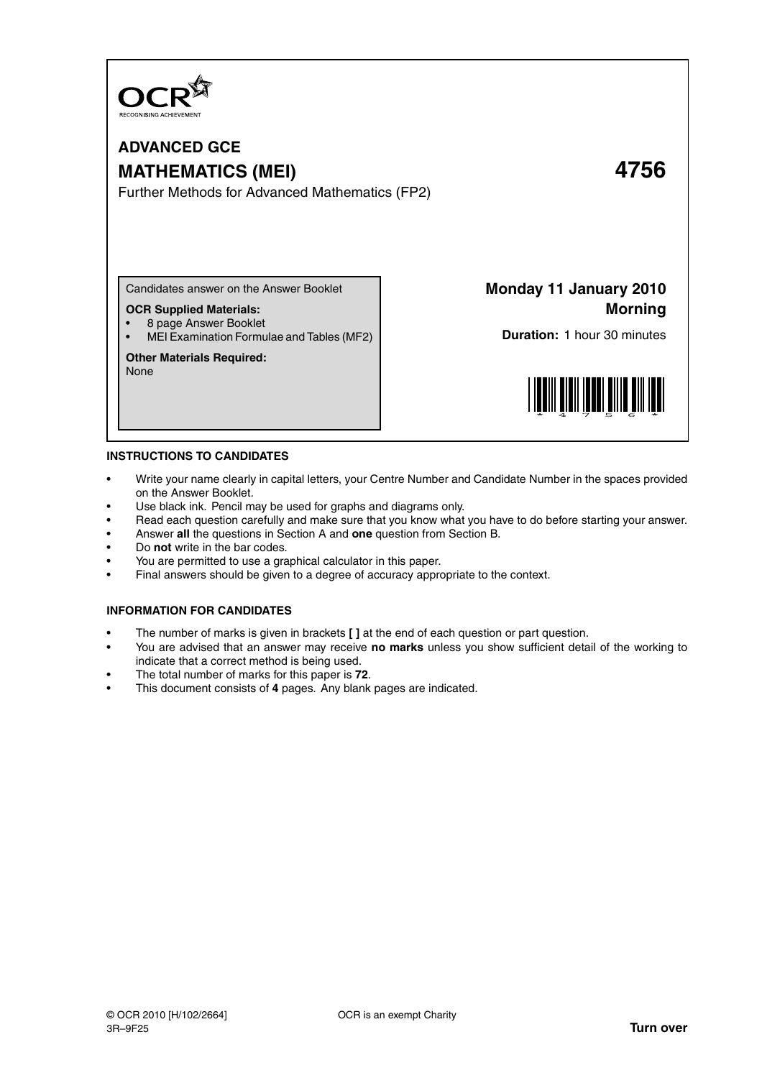

# **ADVANCED GCE MATHEMATICS (MEI) 4756**

Further Methods for Advanced Mathematics (FP2)

Candidates answer on the Answer Booklet

# **OCR Supplied Materials:**

- 8 page Answer Booklet
- MEI Examination Formulae and Tables (MF2)

# **Other Materials Required:**

None

**Monday 11 January 2010 Morning**

**Duration:** 1 hour 30 minutes



#### **INSTRUCTIONS TO CANDIDATES**

- Write your name clearly in capital letters, your Centre Number and Candidate Number in the spaces provided on the Answer Booklet.
- Use black ink. Pencil may be used for graphs and diagrams only.
- Read each question carefully and make sure that you know what you have to do before starting your answer.
- Answer **all** the questions in Section A and **one** question from Section B.
- Do **not** write in the bar codes.
- You are permitted to use a graphical calculator in this paper.
- Final answers should be given to a degree of accuracy appropriate to the context.

# **INFORMATION FOR CANDIDATES**

- The number of marks is given in brackets **[ ]** at the end of each question or part question.
- You are advised that an answer may receive **no marks** unless you show sufficient detail of the working to indicate that a correct method is being used.
- The total number of marks for this paper is **72**.
- This document consists of **4** pages. Any blank pages are indicated.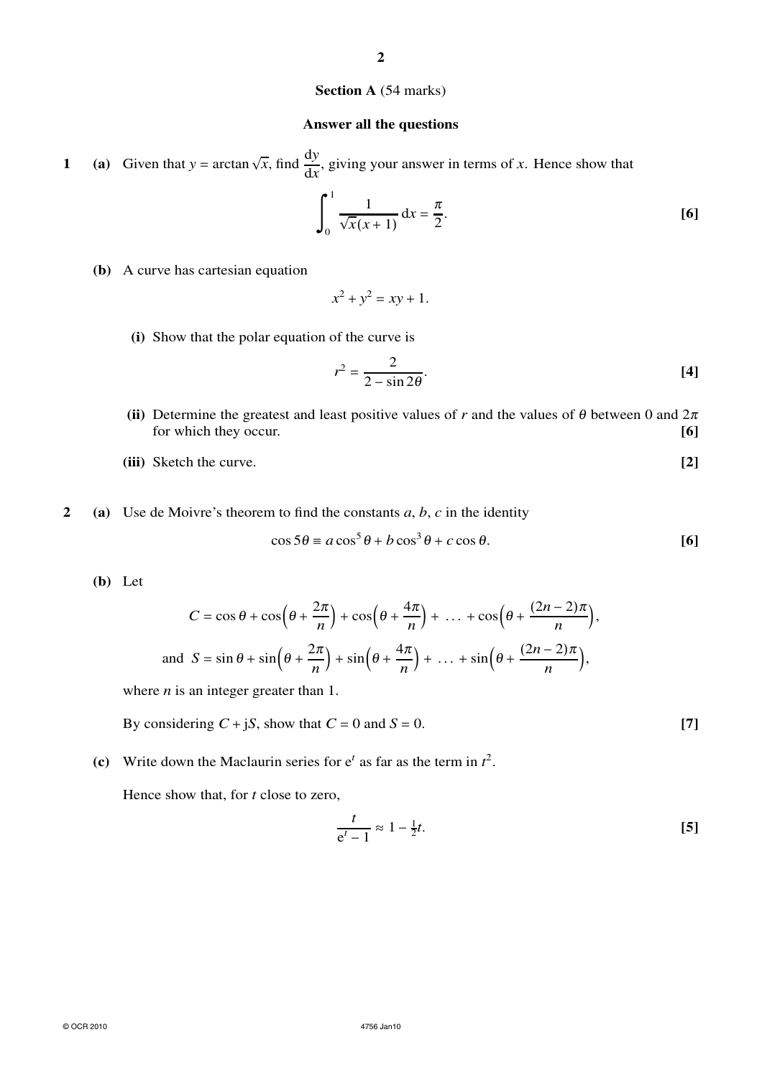#### **2**

# **Section A** (54 marks)

# **Answer all the questions**

**1** (a) Given that  $y = \arctan \sqrt{x}$ , find  $\frac{dy}{dx}$ , giving your answer in terms of *x*. Hence show that

$$
\int_0^1 \frac{1}{\sqrt{x}(x+1)} dx = \frac{\pi}{2}.
$$
 [6]

**(b)** A curve has cartesian equation

$$
x^2 + y^2 = xy + 1.
$$

**(i)** Show that the polar equation of the curve is

$$
r^2 = \frac{2}{2 - \sin 2\theta}.
$$
 [4]

- **(ii)** Determine the greatest and least positive values of *r* and the values of  $\theta$  between 0 and  $2\pi$ for which they occur. **[6]**
- **(iii)** Sketch the curve. **[2]**
- **2 (a)** Use de Moivre's theorem to find the constants *a*, *b*, *c* in the identity

$$
\cos 5\theta \equiv a \cos^5 \theta + b \cos^3 \theta + c \cos \theta. \tag{6}
$$

**(b)** Let

$$
C = \cos \theta + \cos \left(\theta + \frac{2\pi}{n}\right) + \cos \left(\theta + \frac{4\pi}{n}\right) + \dots + \cos \left(\theta + \frac{(2n-2)\pi}{n}\right),
$$
  
and 
$$
S = \sin \theta + \sin \left(\theta + \frac{2\pi}{n}\right) + \sin \left(\theta + \frac{4\pi}{n}\right) + \dots + \sin \left(\theta + \frac{(2n-2)\pi}{n}\right),
$$

where *n* is an integer greater than 1.

By considering  $C + jS$ , show that  $C = 0$  and  $S = 0$ . [7]

(c) Write down the Maclaurin series for  $e^t$  as far as the term in  $t^2$ .

Hence show that, for *t* close to zero,

$$
\frac{t}{e^t - 1} \approx 1 - \frac{1}{2}t.
$$
 [5]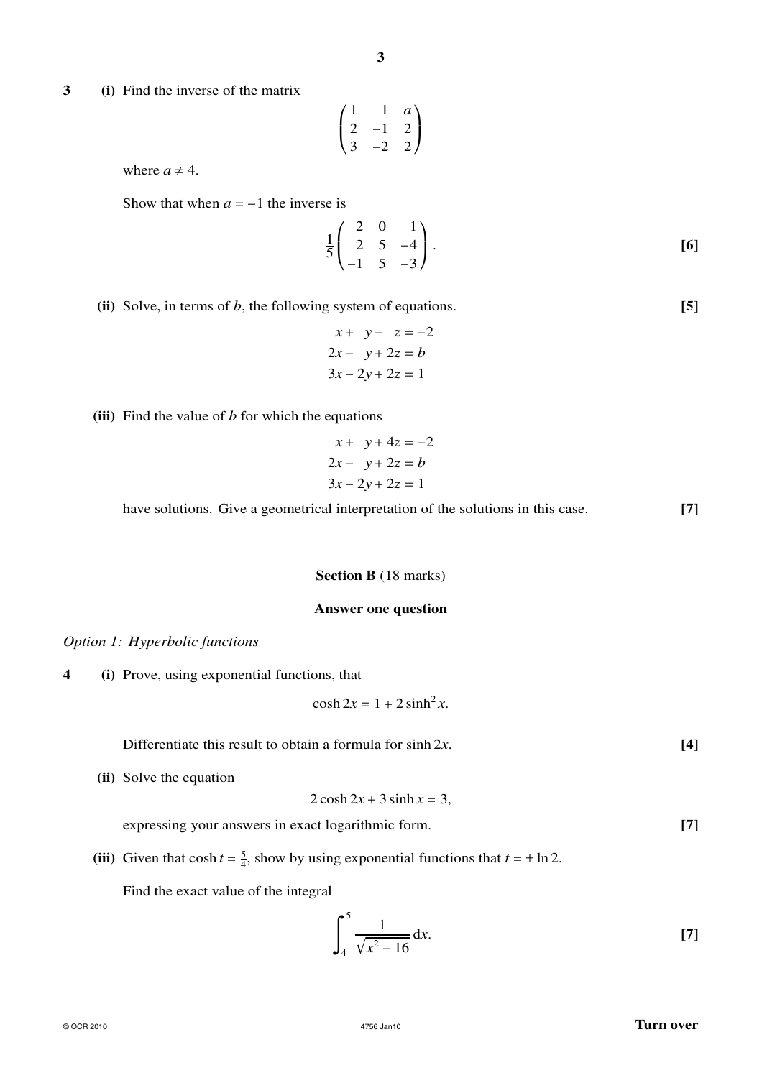**3 (i)** Find the inverse of the matrix

$$
\begin{pmatrix}\n1 & 1 & a \\
2 & -1 & 2 \\
3 & -2 & 2\n\end{pmatrix}
$$

where  $a \neq 4$ .

Show that when  $a = -1$  the inverse is

$$
\frac{1}{5} \begin{pmatrix} 2 & 0 & 1 \\ 2 & 5 & -4 \\ -1 & 5 & -3 \end{pmatrix} .
$$
 [6]

**(ii)** Solve, in terms of *b*, the following system of equations. **[5]**

$$
x + y - z = -2
$$
  

$$
2x - y + 2z = b
$$
  

$$
3x - 2y + 2z = 1
$$

**(iii)** Find the value of *b* for which the equations

$$
x + y + 4z = -2
$$
  

$$
2x - y + 2z = b
$$
  

$$
3x - 2y + 2z = 1
$$

have solutions. Give a geometrical interpretation of the solutions in this case. **[7]**

### **Section B** (18 marks)

# **Answer one question**

# *Option 1: Hyperbolic functions*

**4 (i)** Prove, using exponential functions, that

$$
\cosh 2x = 1 + 2\sinh^2 x.
$$

Differentiate this result to obtain a formula for sinh 2*x*. [4]

**(ii)** Solve the equation

$$
2\cosh 2x + 3\sinh x = 3,
$$

expressing your answers in exact logarithmic form. **[7]**

(iii) Given that  $\cosh t = \frac{5}{4}$ , show by using exponential functions that  $t = \pm \ln 2$ .

 $\overline{a}$ 

Find the exact value of the integral

$$
\int_{4}^{5} \frac{1}{\sqrt{x^2 - 16}} dx.
$$
 [7]

# $\circ$  OCR 2010 **Turn over**